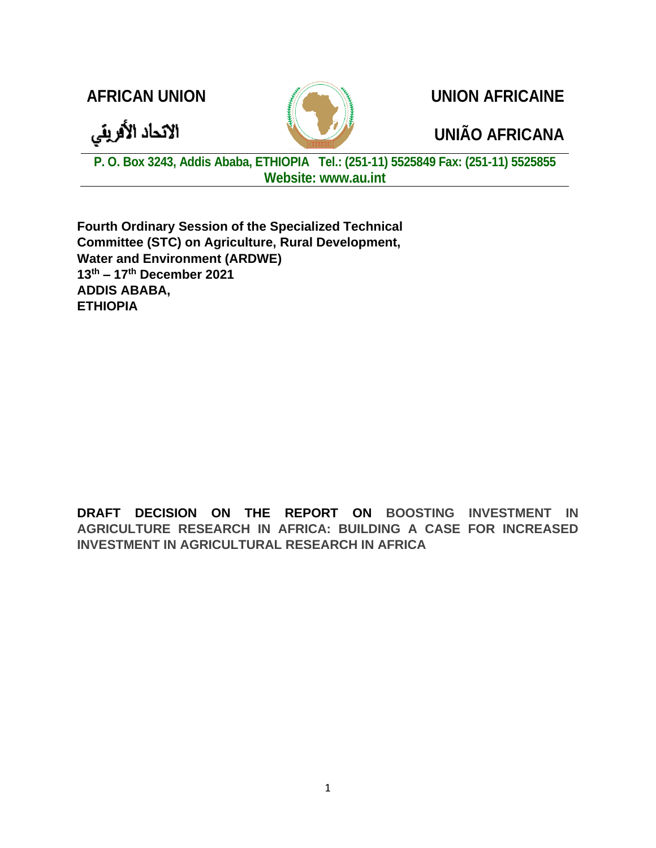الاتحاد الأفريقي

**AFRICAN UNION UNION AFRICAINE**

## **UNIÃO AFRICANA**

**P. O. Box 3243, Addis Ababa, ETHIOPIA Tel.: (251-11) 5525849 Fax: (251-11) 5525855 Website: www.au.int**

**Fourth Ordinary Session of the Specialized Technical Committee (STC) on Agriculture, Rural Development, Water and Environment (ARDWE) 13th – 17th December 2021 ADDIS ABABA, ETHIOPIA**

**DRAFT DECISION ON THE REPORT ON BOOSTING INVESTMENT IN AGRICULTURE RESEARCH IN AFRICA: BUILDING A CASE FOR INCREASED INVESTMENT IN AGRICULTURAL RESEARCH IN AFRICA**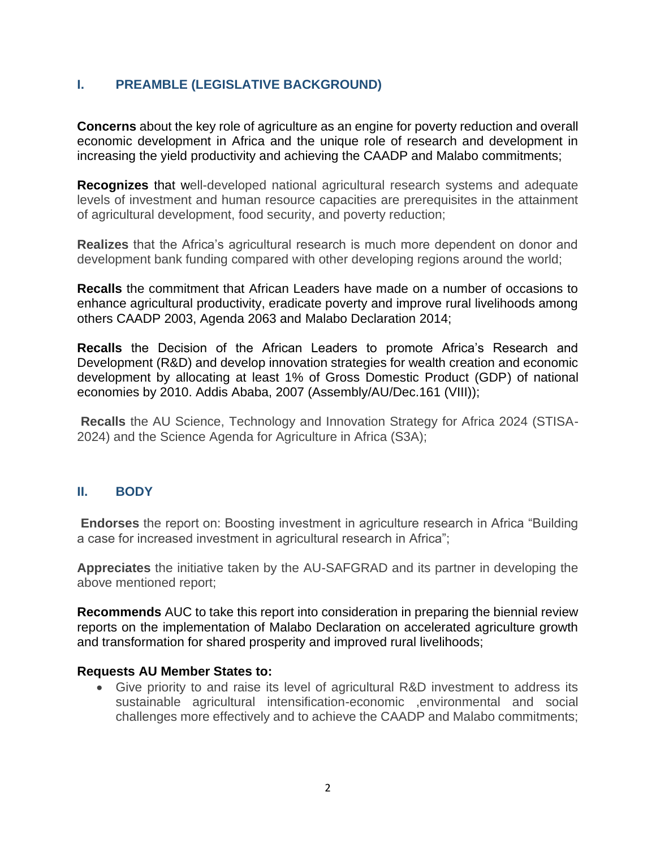## **I. PREAMBLE (LEGISLATIVE BACKGROUND)**

**Concerns** about the key role of agriculture as an engine for poverty reduction and overall economic development in Africa and the unique role of research and development in increasing the yield productivity and achieving the CAADP and Malabo commitments;

**Recognizes** that well-developed national agricultural research systems and adequate levels of investment and human resource capacities are prerequisites in the attainment of agricultural development, food security, and poverty reduction;

**Realizes** that the Africa's agricultural research is much more dependent on donor and development bank funding compared with other developing regions around the world;

**Recalls** the commitment that African Leaders have made on a number of occasions to enhance agricultural productivity, eradicate poverty and improve rural livelihoods among others CAADP 2003, Agenda 2063 and Malabo Declaration 2014;

**Recalls** the Decision of the African Leaders to promote Africa's Research and Development (R&D) and develop innovation strategies for wealth creation and economic development by allocating at least 1% of Gross Domestic Product (GDP) of national economies by 2010. Addis Ababa, 2007 (Assembly/AU/Dec.161 (VIII));

**Recalls** the AU Science, Technology and Innovation Strategy for Africa 2024 (STISA-2024) and the Science Agenda for Agriculture in Africa (S3A);

## **II. BODY**

**Endorses** the report on: Boosting investment in agriculture research in Africa "Building a case for increased investment in agricultural research in Africa";

**Appreciates** the initiative taken by the AU-SAFGRAD and its partner in developing the above mentioned report;

**Recommends** AUC to take this report into consideration in preparing the biennial review reports on the implementation of Malabo Declaration on accelerated agriculture growth and transformation for shared prosperity and improved rural livelihoods;

## **Requests AU Member States to:**

• Give priority to and raise its level of agricultural R&D investment to address its sustainable agricultural intensification-economic ,environmental and social challenges more effectively and to achieve the CAADP and Malabo commitments;